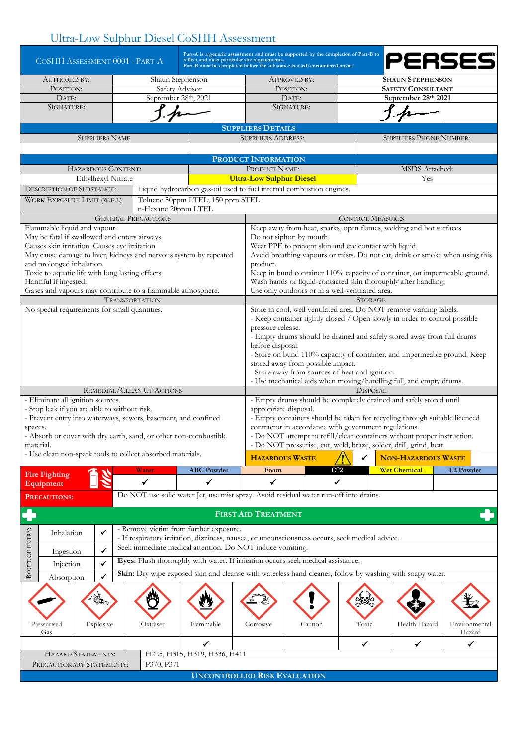## Ultra-Low Sulphur Diesel CoSHH Assessment

|                                                                                                                       |                       | COSHH ASSESSMENT 0001 - PART-A                                                                  |                                  | Part-A is a generic assessment and must be supported by the completion of Part-B to<br>reflect and meet particular site requirements.<br>Part-B must be completed before the substance is used/encountered onsite |                                                                                                                                       | PERSES          |                                                                            |                  |  |  |  |  |  |
|-----------------------------------------------------------------------------------------------------------------------|-----------------------|-------------------------------------------------------------------------------------------------|----------------------------------|-------------------------------------------------------------------------------------------------------------------------------------------------------------------------------------------------------------------|---------------------------------------------------------------------------------------------------------------------------------------|-----------------|----------------------------------------------------------------------------|------------------|--|--|--|--|--|
| <b>AUTHORED BY:</b>                                                                                                   |                       |                                                                                                 | Shaun Stephenson                 |                                                                                                                                                                                                                   | APPROVED BY:                                                                                                                          |                 | <b>SHAUN STEPHENSON</b>                                                    |                  |  |  |  |  |  |
| POSITION:                                                                                                             |                       |                                                                                                 | Safety Advisor                   |                                                                                                                                                                                                                   | POSITION:                                                                                                                             |                 | <b>SAFETY CONSULTANT</b>                                                   |                  |  |  |  |  |  |
| DATE:                                                                                                                 |                       | September 28th, 2021                                                                            |                                  |                                                                                                                                                                                                                   | DATE:                                                                                                                                 |                 | September 28th 2021                                                        |                  |  |  |  |  |  |
| SIGNATURE:                                                                                                            |                       |                                                                                                 |                                  |                                                                                                                                                                                                                   | SIGNATURE:                                                                                                                            |                 |                                                                            |                  |  |  |  |  |  |
| <b>SUPPLIERS DETAILS</b>                                                                                              |                       |                                                                                                 |                                  |                                                                                                                                                                                                                   |                                                                                                                                       |                 |                                                                            |                  |  |  |  |  |  |
|                                                                                                                       | <b>SUPPLIERS NAME</b> |                                                                                                 |                                  | <b>SUPPLIERS ADDRESS:</b>                                                                                                                                                                                         |                                                                                                                                       |                 | <b>SUPPLIERS PHONE NUMBER:</b>                                             |                  |  |  |  |  |  |
|                                                                                                                       |                       |                                                                                                 |                                  |                                                                                                                                                                                                                   |                                                                                                                                       |                 |                                                                            |                  |  |  |  |  |  |
|                                                                                                                       |                       |                                                                                                 |                                  |                                                                                                                                                                                                                   | <b>PRODUCT INFORMATION</b>                                                                                                            |                 |                                                                            |                  |  |  |  |  |  |
|                                                                                                                       | HAZARDOUS CONTENT:    |                                                                                                 |                                  | PRODUCT NAME:                                                                                                                                                                                                     |                                                                                                                                       |                 | MSDS Attached:                                                             |                  |  |  |  |  |  |
|                                                                                                                       | Ethylhexyl Nitrate    |                                                                                                 |                                  | <b>Ultra-Low Sulphur Diesel</b>                                                                                                                                                                                   |                                                                                                                                       |                 | Yes                                                                        |                  |  |  |  |  |  |
| <b>DESCRIPTION OF SUBSTANCE:</b>                                                                                      |                       |                                                                                                 |                                  |                                                                                                                                                                                                                   | Liquid hydrocarbon gas-oil used to fuel internal combustion engines.                                                                  |                 |                                                                            |                  |  |  |  |  |  |
| WORK EXPOSURE LIMIT (W.E.L)                                                                                           |                       |                                                                                                 | Toluene 50ppm LTEL; 150 ppm STEL |                                                                                                                                                                                                                   |                                                                                                                                       |                 |                                                                            |                  |  |  |  |  |  |
|                                                                                                                       |                       | n-Hexane 20ppm LTEL                                                                             |                                  |                                                                                                                                                                                                                   |                                                                                                                                       |                 |                                                                            |                  |  |  |  |  |  |
|                                                                                                                       |                       | <b>GENERAL PRECAUTIONS</b>                                                                      |                                  |                                                                                                                                                                                                                   | <b>CONTROL MEASURES</b>                                                                                                               |                 |                                                                            |                  |  |  |  |  |  |
| Flammable liquid and vapour.                                                                                          |                       |                                                                                                 |                                  |                                                                                                                                                                                                                   |                                                                                                                                       |                 |                                                                            |                  |  |  |  |  |  |
| May be fatal if swallowed and enters airways.                                                                         |                       |                                                                                                 |                                  |                                                                                                                                                                                                                   | Keep away from heat, sparks, open flames, welding and hot surfaces<br>Do not siphon by mouth.                                         |                 |                                                                            |                  |  |  |  |  |  |
| Causes skin irritation. Causes eye irritation                                                                         |                       |                                                                                                 |                                  |                                                                                                                                                                                                                   |                                                                                                                                       |                 |                                                                            |                  |  |  |  |  |  |
|                                                                                                                       |                       | May cause damage to liver, kidneys and nervous system by repeated                               |                                  |                                                                                                                                                                                                                   | Wear PPE to prevent skin and eye contact with liquid.<br>Avoid breathing vapours or mists. Do not eat, drink or smoke when using this |                 |                                                                            |                  |  |  |  |  |  |
| and prolonged inhalation.                                                                                             |                       |                                                                                                 |                                  | product.                                                                                                                                                                                                          |                                                                                                                                       |                 |                                                                            |                  |  |  |  |  |  |
| Toxic to aquatic life with long lasting effects.                                                                      |                       |                                                                                                 |                                  |                                                                                                                                                                                                                   |                                                                                                                                       |                 | Keep in bund container 110% capacity of container, on impermeable ground.  |                  |  |  |  |  |  |
| Harmful if ingested.                                                                                                  |                       |                                                                                                 |                                  |                                                                                                                                                                                                                   |                                                                                                                                       |                 | Wash hands or liquid-contacted skin thoroughly after handling.             |                  |  |  |  |  |  |
|                                                                                                                       |                       | Gases and vapours may contribute to a flammable atmosphere.                                     |                                  |                                                                                                                                                                                                                   | Use only outdoors or in a well-ventilated area.                                                                                       |                 |                                                                            |                  |  |  |  |  |  |
|                                                                                                                       |                       | <b>TRANSPORTATION</b>                                                                           |                                  |                                                                                                                                                                                                                   |                                                                                                                                       |                 |                                                                            |                  |  |  |  |  |  |
| No special requirements for small quantities.                                                                         |                       |                                                                                                 |                                  |                                                                                                                                                                                                                   | <b>STORAGE</b><br>Store in cool, well ventilated area. Do NOT remove warning labels.                                                  |                 |                                                                            |                  |  |  |  |  |  |
|                                                                                                                       |                       |                                                                                                 |                                  |                                                                                                                                                                                                                   |                                                                                                                                       |                 | - Keep container tightly closed / Open slowly in order to control possible |                  |  |  |  |  |  |
|                                                                                                                       |                       |                                                                                                 |                                  | pressure release.                                                                                                                                                                                                 |                                                                                                                                       |                 |                                                                            |                  |  |  |  |  |  |
|                                                                                                                       |                       |                                                                                                 |                                  |                                                                                                                                                                                                                   | - Empty drums should be drained and safely stored away from full drums                                                                |                 |                                                                            |                  |  |  |  |  |  |
|                                                                                                                       |                       |                                                                                                 |                                  |                                                                                                                                                                                                                   | before disposal.                                                                                                                      |                 |                                                                            |                  |  |  |  |  |  |
|                                                                                                                       |                       |                                                                                                 |                                  |                                                                                                                                                                                                                   | - Store on bund 110% capacity of container, and impermeable ground. Keep                                                              |                 |                                                                            |                  |  |  |  |  |  |
|                                                                                                                       |                       |                                                                                                 |                                  |                                                                                                                                                                                                                   | stored away from possible impact.                                                                                                     |                 |                                                                            |                  |  |  |  |  |  |
|                                                                                                                       |                       |                                                                                                 |                                  |                                                                                                                                                                                                                   | - Store away from sources of heat and ignition.                                                                                       |                 |                                                                            |                  |  |  |  |  |  |
|                                                                                                                       |                       |                                                                                                 |                                  |                                                                                                                                                                                                                   | - Use mechanical aids when moving/handling full, and empty drums.                                                                     |                 |                                                                            |                  |  |  |  |  |  |
|                                                                                                                       |                       | REMEDIAL/CLEAN UP ACTIONS                                                                       |                                  |                                                                                                                                                                                                                   | <b>DISPOSAL</b>                                                                                                                       |                 |                                                                            |                  |  |  |  |  |  |
| - Eliminate all ignition sources.                                                                                     |                       |                                                                                                 |                                  |                                                                                                                                                                                                                   | - Empty drums should be completely drained and safely stored until                                                                    |                 |                                                                            |                  |  |  |  |  |  |
| - Stop leak if you are able to without risk.                                                                          |                       |                                                                                                 |                                  |                                                                                                                                                                                                                   | appropriate disposal.                                                                                                                 |                 |                                                                            |                  |  |  |  |  |  |
|                                                                                                                       |                       | - Prevent entry into waterways, sewers, basement, and confined                                  |                                  |                                                                                                                                                                                                                   | - Empty containers should be taken for recycling through suitable licenced                                                            |                 |                                                                            |                  |  |  |  |  |  |
| spaces.                                                                                                               |                       |                                                                                                 |                                  |                                                                                                                                                                                                                   | contractor in accordance with government regulations.                                                                                 |                 |                                                                            |                  |  |  |  |  |  |
|                                                                                                                       |                       | - Absorb or cover with dry earth, sand, or other non-combustible                                |                                  |                                                                                                                                                                                                                   | - Do NOT attempt to refill/clean containers without proper instruction.                                                               |                 |                                                                            |                  |  |  |  |  |  |
| material.                                                                                                             |                       |                                                                                                 |                                  |                                                                                                                                                                                                                   | - Do NOT pressurise, cut, weld, braze, solder, drill, grind, heat.                                                                    |                 |                                                                            |                  |  |  |  |  |  |
|                                                                                                                       |                       | - Use clean non-spark tools to collect absorbed materials.                                      |                                  | <b>HAZARDOUS WASTE</b>                                                                                                                                                                                            |                                                                                                                                       | ✓               | <b>NON-HAZARDOUS WASTE</b>                                                 |                  |  |  |  |  |  |
|                                                                                                                       |                       | Water                                                                                           | <b>ABC Powder</b>                | Foam                                                                                                                                                                                                              |                                                                                                                                       | C <sub>02</sub> | <b>Wet Chemical</b>                                                        | <b>L2 Powder</b> |  |  |  |  |  |
| <b>Fire Fighting</b>                                                                                                  |                       |                                                                                                 |                                  |                                                                                                                                                                                                                   |                                                                                                                                       |                 |                                                                            |                  |  |  |  |  |  |
| Equipment                                                                                                             |                       | ✓                                                                                               | ✓                                | ✓                                                                                                                                                                                                                 |                                                                                                                                       | ✓               |                                                                            |                  |  |  |  |  |  |
| PRECAUTIONS:                                                                                                          |                       | Do NOT use solid water Jet, use mist spray. Avoid residual water run-off into drains.           |                                  |                                                                                                                                                                                                                   |                                                                                                                                       |                 |                                                                            |                  |  |  |  |  |  |
| <b>FIRST AID TREATMENT</b>                                                                                            |                       |                                                                                                 |                                  |                                                                                                                                                                                                                   |                                                                                                                                       |                 |                                                                            |                  |  |  |  |  |  |
|                                                                                                                       |                       |                                                                                                 |                                  |                                                                                                                                                                                                                   |                                                                                                                                       |                 |                                                                            |                  |  |  |  |  |  |
| Inhalation                                                                                                            | ✓                     | - Remove victim from further exposure.                                                          |                                  |                                                                                                                                                                                                                   |                                                                                                                                       |                 |                                                                            |                  |  |  |  |  |  |
|                                                                                                                       |                       | - If respiratory irritation, dizziness, nausea, or unconsciousness occurs, seek medical advice. |                                  |                                                                                                                                                                                                                   |                                                                                                                                       |                 |                                                                            |                  |  |  |  |  |  |
| Ingestion                                                                                                             | $\checkmark$          | Seek immediate medical attention. Do NOT induce vomiting.                                       |                                  |                                                                                                                                                                                                                   |                                                                                                                                       |                 |                                                                            |                  |  |  |  |  |  |
| ROUTE OF ENTRY:<br>Eyes: Flush thoroughly with water. If irritation occurs seek medical assistance.<br>$\checkmark$   |                       |                                                                                                 |                                  |                                                                                                                                                                                                                   |                                                                                                                                       |                 |                                                                            |                  |  |  |  |  |  |
| Injection<br>Skin: Dry wipe exposed skin and cleanse with waterless hand cleaner, follow by washing with soapy water. |                       |                                                                                                 |                                  |                                                                                                                                                                                                                   |                                                                                                                                       |                 |                                                                            |                  |  |  |  |  |  |
| Absorption                                                                                                            | $\checkmark$          |                                                                                                 |                                  |                                                                                                                                                                                                                   |                                                                                                                                       |                 |                                                                            |                  |  |  |  |  |  |
|                                                                                                                       |                       |                                                                                                 |                                  |                                                                                                                                                                                                                   |                                                                                                                                       |                 |                                                                            |                  |  |  |  |  |  |
|                                                                                                                       |                       | W,                                                                                              |                                  |                                                                                                                                                                                                                   |                                                                                                                                       |                 |                                                                            |                  |  |  |  |  |  |
|                                                                                                                       |                       |                                                                                                 |                                  |                                                                                                                                                                                                                   |                                                                                                                                       |                 |                                                                            |                  |  |  |  |  |  |
|                                                                                                                       |                       |                                                                                                 |                                  |                                                                                                                                                                                                                   |                                                                                                                                       |                 |                                                                            |                  |  |  |  |  |  |
| Pressurised                                                                                                           | Explosive             | Oxidiser                                                                                        | Flammable                        | Corrosive                                                                                                                                                                                                         | Caution                                                                                                                               | Toxic           | Health Hazard                                                              | Environmental    |  |  |  |  |  |
| Gas                                                                                                                   |                       |                                                                                                 |                                  |                                                                                                                                                                                                                   |                                                                                                                                       |                 |                                                                            | Hazard           |  |  |  |  |  |
|                                                                                                                       |                       |                                                                                                 | ✓                                |                                                                                                                                                                                                                   |                                                                                                                                       | ✓               | ✔                                                                          | ✔                |  |  |  |  |  |
| HAZARD STATEMENTS:                                                                                                    |                       |                                                                                                 | H225, H315, H319, H336, H411     |                                                                                                                                                                                                                   |                                                                                                                                       |                 |                                                                            |                  |  |  |  |  |  |
| PRECAUTIONARY STATEMENTS:<br>P370, P371                                                                               |                       |                                                                                                 |                                  |                                                                                                                                                                                                                   |                                                                                                                                       |                 |                                                                            |                  |  |  |  |  |  |
|                                                                                                                       |                       |                                                                                                 |                                  |                                                                                                                                                                                                                   |                                                                                                                                       |                 |                                                                            |                  |  |  |  |  |  |
| <b>UNCONTROLLED RISK EVALUATION</b>                                                                                   |                       |                                                                                                 |                                  |                                                                                                                                                                                                                   |                                                                                                                                       |                 |                                                                            |                  |  |  |  |  |  |